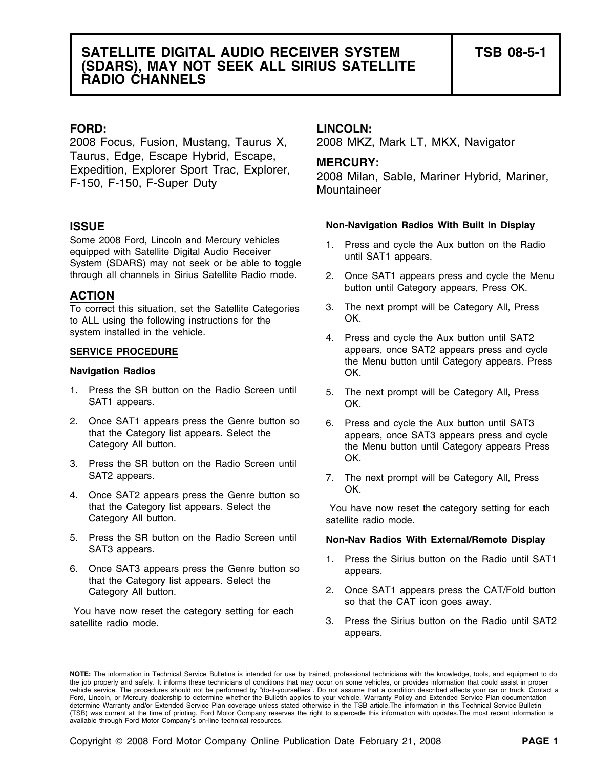2008 Focus, Fusion, Mustang, Taurus X, 2008 MKZ, Mark LT, MKX, Navigator Taurus, Edge, Escape Hybrid, Escape, **MERCURY:** Expedition, Explorer Sport Trac, Explorer, 2008 Milan, Sable, Mariner Hybrid, Mariner, F-150, F-150, F-Super Duty Mountaineer

Some 2008 Ford, Lincoln and Mercury vehicles 1. Press and cycle the Aux button on the Radio equipped with Satellite Digital Audio Receiver until SAT1 appears.<br>System (SDARS) may not seek or be able to toggle until SAT1 app through all channels in Sirius Satellite Radio mode. 2. Once SAT1 appears press and cycle the Menu

To correct this situation, set the Satellite Categories 3. The next prompt will be Category All, Press<br>to ALL using the following instructions for the CK. to ALL using the following instructions for the

## **Navigation Radios OK.**

- 1. Press the SR button on the Radio Screen until 5. The next prompt will be Category All, Press SAT1 appears. OK.
- 2. Once SAT1 appears press the Genre button so 6. Press and cycle the Aux button until SAT3<br>that the Category list appears. Select the appears once SAT3 appears press and cycle
- OK. 3. Press the SR button on the Radio Screen until
- 4. Once SAT2 appears press the Genre button so CK. that the Category list appears. Select the You have now reset the category setting for each<br>Category All button.
- 5. Press the SR button on the Radio Screen until **Non-Nav Radios With External/Remote Display**  SAT3 appears.
- 6. Once SAT3 appears press the Genre button so appears. that the Category list appears. Select the

You have now reset the category setting for each

# **FORD: LINCOLN:**

## **Non-Navigation Radios With Built In Display ISSUE**

- 
- button until Category appears, Press OK. **ACTION**
	-
- system installed in the vehicle.  $\begin{array}{ccc} 4. & \text{Press and cycle the Aux button until SAT2} \end{array}$ **SERVICE PROCEDURE appears**, once SAT2 appears press and cycle the Menu button until Category appears. Press
	-
	- that the Category list appears. Select the appears, once SAT3 appears press and cycle<br>Category All button. the Menu button until Category appears Press
	- SAT2 appears. The next prompt will be Category All, Press

satellite radio mode.

- 1. Press the Sirius button on the Radio until SAT1
- Category All button. 2. Once SAT1 appears press the CAT/Fold button so that the CAT icon goes away.
- satellite radio mode.  $\overline{3}$ . Press the Sirius button on the Radio until SAT2 appears.

**NOTE:** The information in Technical Service Bulletins is intended for use by trained, professional technicians with the knowledge, tools, and equipment to do the job properly and safely. It informs these technicians of conditions that may occur on some vehicles, or provides information that could assist in proper<br>vehicle service. The procedures should not be performed by "do-it Ford, Lincoln, or Mercury dealership to determine whether the Bulletin applies to your vehicle. Warranty Policy and Extended Service Plan documentation determine Warranty and/or Extended Service Plan coverage unless stated otherwise in the TSB article.The information in this Technical Service Bulletin (TSB) was current at the time of printing. Ford Motor Company reserves the right to supercede this information with updates.The most recent information is available through Ford Motor Company's on-line technical resources.